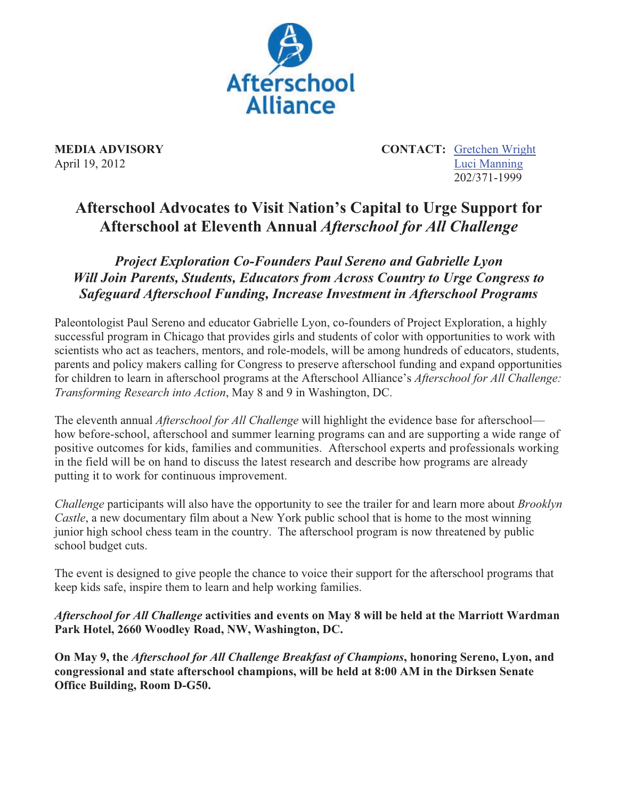

**MEDIA ADVISORY** CONTACT: Gretchen Wright April 19, 2012 Luci Manning 202/371-1999

## **Afterschool Advocates to Visit Nation's Capital to Urge Support for Afterschool at Eleventh Annual** *Afterschool for All Challenge*

*Project Exploration Co-Founders Paul Sereno and Gabrielle Lyon Will Join Parents, Students, Educators from Across Country to Urge Congress to Safeguard Afterschool Funding, Increase Investment in Afterschool Programs* 

Paleontologist Paul Sereno and educator Gabrielle Lyon, co-founders of Project Exploration, a highly successful program in Chicago that provides girls and students of color with opportunities to work with scientists who act as teachers, mentors, and role-models, will be among hundreds of educators, students, parents and policy makers calling for Congress to preserve afterschool funding and expand opportunities for children to learn in afterschool programs at the Afterschool Alliance's *Afterschool for All Challenge: Transforming Research into Action*, May 8 and 9 in Washington, DC.

The eleventh annual *Afterschool for All Challenge* will highlight the evidence base for afterschool how before-school, afterschool and summer learning programs can and are supporting a wide range of positive outcomes for kids, families and communities. Afterschool experts and professionals working in the field will be on hand to discuss the latest research and describe how programs are already putting it to work for continuous improvement.

*Challenge* participants will also have the opportunity to see the trailer for and learn more about *Brooklyn Castle*, a new documentary film about a New York public school that is home to the most winning junior high school chess team in the country. The afterschool program is now threatened by public school budget cuts.

The event is designed to give people the chance to voice their support for the afterschool programs that keep kids safe, inspire them to learn and help working families.

*Afterschool for All Challenge* **activities and events on May 8 will be held at the Marriott Wardman Park Hotel, 2660 Woodley Road, NW, Washington, DC.** 

**On May 9, the** *Afterschool for All Challenge Breakfast of Champions***, honoring Sereno, Lyon, and congressional and state afterschool champions, will be held at 8:00 AM in the Dirksen Senate Office Building, Room D-G50.**